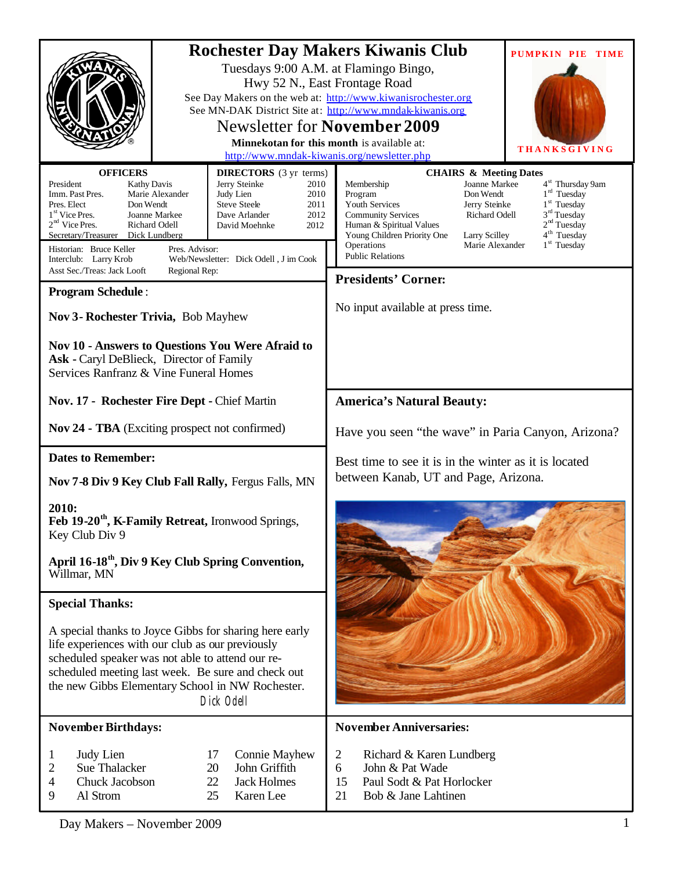|                                                                                                                                                                                                                                                                                                                                                                        |                                                                                                                                                                                                       | <b>Rochester Day Makers Kiwanis Club</b><br><b>PUMPKIN PIE TIME</b><br>Tuesdays 9:00 A.M. at Flamingo Bingo,<br>Hwy 52 N., East Frontage Road<br>See Day Makers on the web at: http://www.kiwanisrochester.org<br>See MN-DAK District Site at: http://www.mndak-kiwanis.org<br><b>Newsletter for November 2009</b><br>Minnekotan for this month is available at:<br><b>THANKSGIVING</b><br>http://www.mndak-kiwanis.org/newsletter.php                                                                 |  |  |
|------------------------------------------------------------------------------------------------------------------------------------------------------------------------------------------------------------------------------------------------------------------------------------------------------------------------------------------------------------------------|-------------------------------------------------------------------------------------------------------------------------------------------------------------------------------------------------------|--------------------------------------------------------------------------------------------------------------------------------------------------------------------------------------------------------------------------------------------------------------------------------------------------------------------------------------------------------------------------------------------------------------------------------------------------------------------------------------------------------|--|--|
| <b>OFFICERS</b><br>President<br><b>Kathy Davis</b><br>Marie Alexander<br>Imm. Past Pres.<br>Pres. Elect<br>Don Wendt<br>1 <sup>st</sup> Vice Pres.<br>Joanne Markee<br>$2nd$ Vice Pres.<br>Richard Odell<br>Secretary/Treasurer<br>Dick Lundberg<br>Historian: Bruce Keller<br>Pres. Advisor:<br>Interclub: Larry Krob<br>Asst Sec./Treas: Jack Looft<br>Regional Rep: | <b>DIRECTORS</b> (3 yr terms)<br>Jerry Steinke<br>2010<br>Judy Lien<br>2010<br><b>Steve Steele</b><br>2011<br>2012<br>Dave Arlander<br>David Moehnke<br>2012<br>Web/Newsletter: Dick Odell, J im Cook | <b>CHAIRS &amp; Meeting Dates</b><br>4 <sup>st</sup> Thursday 9am<br>Membership<br>Joanne Markee<br>$1rd$ Tuesday<br>Program<br>Don Wendt<br>1 <sup>st</sup> Tuesday<br>Youth Services<br>Jerry Steinke<br>3 <sup>rd</sup> Tuesday<br><b>Community Services</b><br><b>Richard Odell</b><br>2 <sup>nd</sup> Tuesday<br>Human & Spiritual Values<br>4 <sup>th</sup> Tuesday<br>Young Children Priority One<br>Larry Scilley<br>$1st$ Tuesday<br>Operations<br>Marie Alexander<br><b>Public Relations</b> |  |  |
|                                                                                                                                                                                                                                                                                                                                                                        |                                                                                                                                                                                                       | <b>Presidents' Corner:</b>                                                                                                                                                                                                                                                                                                                                                                                                                                                                             |  |  |
| <b>Program Schedule:</b><br>Nov 3- Rochester Trivia, Bob Mayhew                                                                                                                                                                                                                                                                                                        |                                                                                                                                                                                                       | No input available at press time.                                                                                                                                                                                                                                                                                                                                                                                                                                                                      |  |  |
| Nov 10 - Answers to Questions You Were Afraid to<br>Ask - Caryl DeBlieck, Director of Family<br>Services Ranfranz & Vine Funeral Homes                                                                                                                                                                                                                                 |                                                                                                                                                                                                       |                                                                                                                                                                                                                                                                                                                                                                                                                                                                                                        |  |  |
| Nov. 17 - Rochester Fire Dept - Chief Martin                                                                                                                                                                                                                                                                                                                           |                                                                                                                                                                                                       | <b>America's Natural Beauty:</b>                                                                                                                                                                                                                                                                                                                                                                                                                                                                       |  |  |
| Nov 24 - TBA (Exciting prospect not confirmed)                                                                                                                                                                                                                                                                                                                         |                                                                                                                                                                                                       | Have you seen "the wave" in Paria Canyon, Arizona?                                                                                                                                                                                                                                                                                                                                                                                                                                                     |  |  |
| <b>Dates to Remember:</b>                                                                                                                                                                                                                                                                                                                                              |                                                                                                                                                                                                       | Best time to see it is in the winter as it is located                                                                                                                                                                                                                                                                                                                                                                                                                                                  |  |  |
| Nov 7-8 Div 9 Key Club Fall Rally, Fergus Falls, MN                                                                                                                                                                                                                                                                                                                    |                                                                                                                                                                                                       | between Kanab, UT and Page, Arizona.                                                                                                                                                                                                                                                                                                                                                                                                                                                                   |  |  |
| 2010:<br>Feb 19-20 <sup>th</sup> , K-Family Retreat, Ironwood Springs,<br>Key Club Div 9                                                                                                                                                                                                                                                                               |                                                                                                                                                                                                       |                                                                                                                                                                                                                                                                                                                                                                                                                                                                                                        |  |  |
| April 16-18 <sup>th</sup> , Div 9 Key Club Spring Convention,<br>Willmar, MN                                                                                                                                                                                                                                                                                           |                                                                                                                                                                                                       |                                                                                                                                                                                                                                                                                                                                                                                                                                                                                                        |  |  |
| <b>Special Thanks:</b>                                                                                                                                                                                                                                                                                                                                                 |                                                                                                                                                                                                       |                                                                                                                                                                                                                                                                                                                                                                                                                                                                                                        |  |  |
| A special thanks to Joyce Gibbs for sharing here early<br>life experiences with our club as our previously<br>scheduled speaker was not able to attend our re-<br>scheduled meeting last week. Be sure and check out<br>the new Gibbs Elementary School in NW Rochester.<br>Dick Odell                                                                                 |                                                                                                                                                                                                       |                                                                                                                                                                                                                                                                                                                                                                                                                                                                                                        |  |  |
| <b>November Birthdays:</b>                                                                                                                                                                                                                                                                                                                                             |                                                                                                                                                                                                       | <b>November Anniversaries:</b>                                                                                                                                                                                                                                                                                                                                                                                                                                                                         |  |  |
| Judy Lien<br>1<br>Sue Thalacker<br>2<br>Chuck Jacobson<br>4<br>Al Strom<br>9                                                                                                                                                                                                                                                                                           | 17<br><b>Connie Mayhew</b><br>20<br>John Griffith<br>22<br><b>Jack Holmes</b><br>25<br>Karen Lee                                                                                                      | Richard & Karen Lundberg<br>2<br>6<br>John & Pat Wade<br>15<br>Paul Sodt & Pat Horlocker<br>21<br>Bob & Jane Lahtinen                                                                                                                                                                                                                                                                                                                                                                                  |  |  |